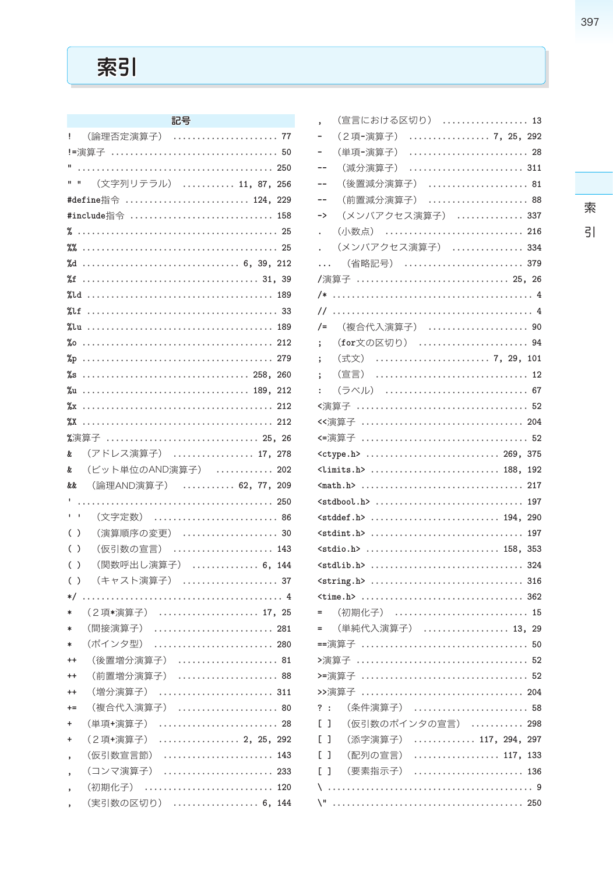# 索引

| Ļ                                         | (論理否定演算子)                 |
|-------------------------------------------|---------------------------|
|                                           |                           |
|                                           |                           |
| $\mathbf{u}$                              | (文字列リテラル)  11, 87,<br>256 |
|                                           | #define指令  124,<br>229    |
|                                           | #include指令  158           |
|                                           |                           |
|                                           |                           |
| %d                                        | 6, 39, 212                |
|                                           |                           |
| %ld                                       | 189                       |
| %lf                                       |                           |
| %lu                                       |                           |
|                                           | 212                       |
| %p                                        | 279                       |
| %s                                        | 260                       |
|                                           | 212                       |
| $\chi_{\rm X}$                            | 212                       |
| $X^*$                                     |                           |
|                                           | %演算子  25, 26              |
| &.                                        | (アドレス演算子)  17, 278        |
| &.                                        | (ビット単位のAND演算子)<br>202     |
|                                           |                           |
| &&                                        | (論理AND演算子)  62, 77, 209   |
| t,                                        |                           |
| r.<br>ï                                   | (文字定数)                    |
| (<br>)                                    | (演算順序の変更)  30             |
| $\overline{(\ }$<br>$\lambda$             | (仮引数の宣言)  143             |
| $\overline{\mathcal{L}}$<br>$\mathcal{E}$ | (関数呼出し演算子)  6, 144        |
| $\overline{(\ }$<br>$\lambda$             | (キャスト演算子)  37             |
| $\ast/$                                   |                           |
| *                                         | (2項*演算子)  17, 25          |
| $\ast$                                    | (間接演算子)                   |
| $\ast$                                    | (ポインタ型)                   |
| $^{++}$                                   | (後置増分演算子)  81             |
| $^{++}$                                   | (前置増分演算子)                 |
| $++$                                      | (増分演算子)                   |
| $+ =$                                     | (複合代入演算子)  80             |
| $\ddot{}$                                 | (単項+演算子)  28              |
| $\ddot{}$                                 | . 2. 25. 292<br>(2項+演算子)  |
| ,                                         | (仮引数宣言節)<br>143           |
| ï                                         | (コンマ演算子)<br>233           |
| ,                                         | (初期化子)<br>120             |
|                                           | (実引数の区切り)  6,<br>144      |

| (宣言における区切り)  13<br>,                                                          |
|-------------------------------------------------------------------------------|
| (2項-演算子)  7, 25, 292<br>$\overline{\phantom{0}}$                              |
| (単項-演算子)  28<br>$\overline{\phantom{0}}$                                      |
| (減分演算子)  311<br>$-$                                                           |
| (後置減分演算子)  81<br>--                                                           |
| (前置減分演算子)  88<br>--                                                           |
| (メンバアクセス演算子)  337<br>->                                                       |
| . (小数点)  216                                                                  |
| . (メンバアクセス演算子)  334                                                           |
| (省略記号)  379                                                                   |
| /演算子  25, 26                                                                  |
|                                                                               |
|                                                                               |
| /= (複合代入演算子)  90                                                              |
| ; (for文の区切り) 94                                                               |
| ; (式文)  7, 29, 101                                                            |
| (宣言)  12                                                                      |
| (ラベル)  67<br>÷.                                                               |
|                                                                               |
| <<演算子  204                                                                    |
|                                                                               |
| $\langle \text{ctype.h} \rangle$ 269, 375                                     |
| $\langle \text{limits.h} \rangle$ 188, 192                                    |
| $\frac{1}{217}$                                                               |
|                                                                               |
| $\texttt{cstddef.h>}\dots\dots\dots\dots\dots\dots\dots\dots\dots\ 194.\ 290$ |
|                                                                               |
| $<$ stdio.h>  158. 353                                                        |
|                                                                               |
|                                                                               |
| $\tt time.h$ 362                                                              |
| = (初期化子)  15                                                                  |
| = (単純代入演算子)  13, 29                                                           |
|                                                                               |
|                                                                               |
|                                                                               |
| >>演算子  204                                                                    |
| (条件演算子)<br>?:                                                                 |
| (仮引数のポインタの宣言)  298<br>E.<br>J                                                 |
| (添字演算子)  117, 294, 297<br>E.<br>J                                             |
| $\ldots \ldots \ldots \ldots \ldots \ldots 117, 133$<br>(配列の宣言)<br>C<br>J     |
| (要素指示子)<br>E.<br>J                                                            |
| ١                                                                             |
|                                                                               |

# 397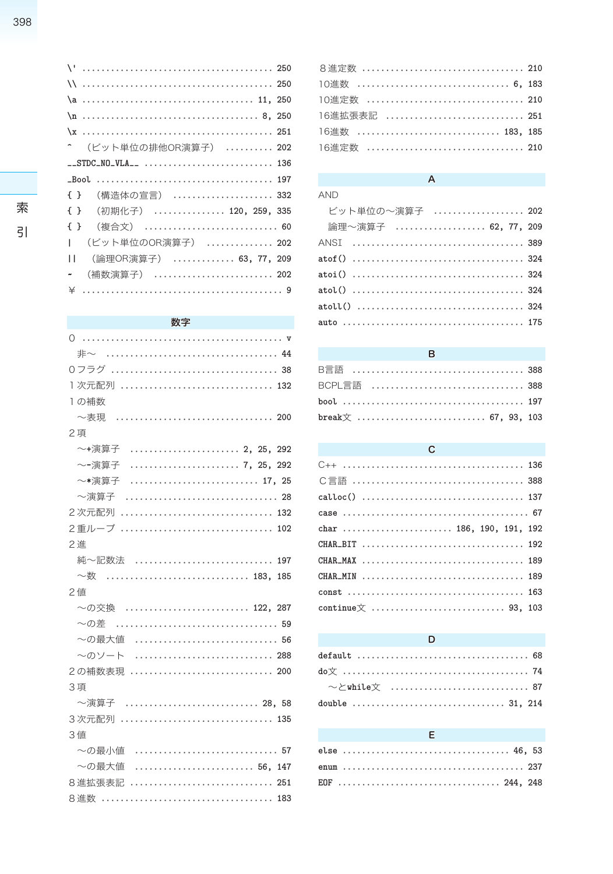| (ビット単位の排他OR演算子)  202                  |
|---------------------------------------|
|                                       |
|                                       |
| {} (構造体の宣言)  332                      |
| { } (初期化子)  120, 259, 335             |
| { } (複合文)  60                         |
| (ビット単位のOR演算子)  202<br>T               |
| (論理OR演算子)  63, 77, 209<br>П           |
| (補数演算子)  202<br>$\tilde{\phantom{a}}$ |
|                                       |

#### 数字

| O                              |
|--------------------------------|
| 非~                             |
|                                |
| 1次元配列  132                     |
| 1の補数                           |
| ~表現                            |
| 2項                             |
| ~+演算子  2, 25, 292              |
| 7, 25, 292<br>~-演算子            |
| ~*演算子                          |
| ~演算子                           |
| 2次元配列                          |
| 2重ループ  102                     |
| 2 進                            |
| 純~記数法  197                     |
| $\sim$ 数 ………………………………… 183.185 |
| 2 値                            |
| ~の交換  122. 287                 |
| 〜の差                            |
| ~の最大値  56                      |
| ~のソート  288                     |
| 2の補数表現  200                    |
| 3項                             |
| ~演算子  28. 58                   |
| 3次元配列  135                     |
| 3値                             |
| ~の最小値  57                      |
| ~の最大値                          |
| 8進拡張表記                         |
|                                |

| 8進定数  210      |  |
|----------------|--|
| 10進数  6, 183   |  |
| 10進定数  210     |  |
| 16進拡張表記  251   |  |
| 16進数  183, 185 |  |
| 16進定数  210     |  |
|                |  |

## $\overline{\mathsf{A}}$

| <b>AND</b>          |  |
|---------------------|--|
| ビット単位の~演算子  202     |  |
| 論理~演算子  62, 77, 209 |  |
|                     |  |
|                     |  |
|                     |  |
|                     |  |
|                     |  |
|                     |  |

#### $\sf{B}$

| BCPL言語  388         |  |
|---------------------|--|
|                     |  |
| break文  67, 93, 103 |  |

### $\mathbf{C}$

| calloc()  137            |  |  |  |  |  |  |  |  |  |  |  |  |  |  |  |  |  |
|--------------------------|--|--|--|--|--|--|--|--|--|--|--|--|--|--|--|--|--|
|                          |  |  |  |  |  |  |  |  |  |  |  |  |  |  |  |  |  |
| char  186, 190, 191, 192 |  |  |  |  |  |  |  |  |  |  |  |  |  |  |  |  |  |
| CHAR_BIT  192            |  |  |  |  |  |  |  |  |  |  |  |  |  |  |  |  |  |
| CHAR_MAX  189            |  |  |  |  |  |  |  |  |  |  |  |  |  |  |  |  |  |
| CHAR_MIN  189            |  |  |  |  |  |  |  |  |  |  |  |  |  |  |  |  |  |
|                          |  |  |  |  |  |  |  |  |  |  |  |  |  |  |  |  |  |
|                          |  |  |  |  |  |  |  |  |  |  |  |  |  |  |  |  |  |
|                          |  |  |  |  |  |  |  |  |  |  |  |  |  |  |  |  |  |

#### D

|               |  | <b>The Contract of Contract Contract Contract Contract Contract Contract Contract Contract Contract Contract Contract Contract Contract Contract Contract Contract Contract Contract Contract Contract Contract Contract Contrac</b> |  |  |  |  |  |  |  |  |  |  |  |  |  |  |  |
|---------------|--|--------------------------------------------------------------------------------------------------------------------------------------------------------------------------------------------------------------------------------------|--|--|--|--|--|--|--|--|--|--|--|--|--|--|--|
|               |  |                                                                                                                                                                                                                                      |  |  |  |  |  |  |  |  |  |  |  |  |  |  |  |
|               |  |                                                                                                                                                                                                                                      |  |  |  |  |  |  |  |  |  |  |  |  |  |  |  |
| EOF  244. 248 |  |                                                                                                                                                                                                                                      |  |  |  |  |  |  |  |  |  |  |  |  |  |  |  |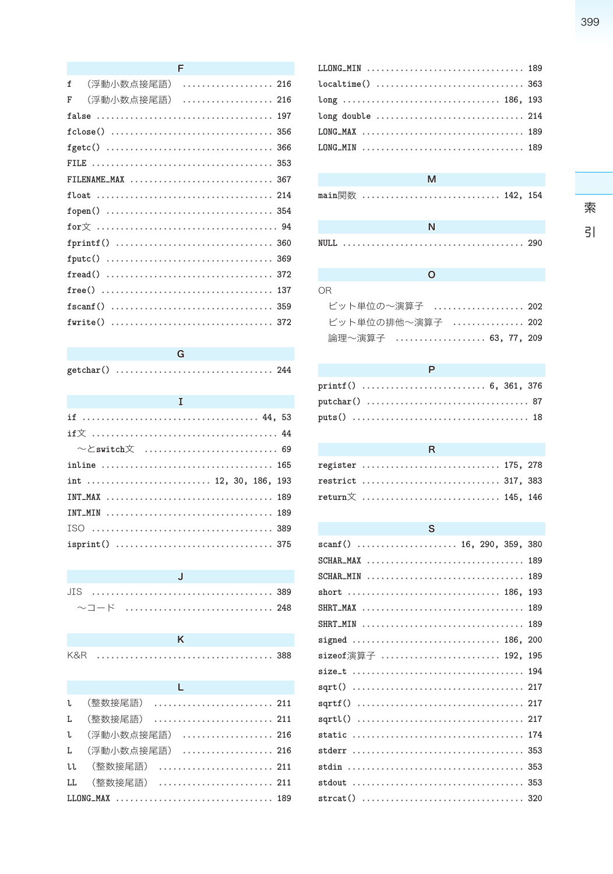|   | F                   |  |
|---|---------------------|--|
| f | (浮動小数点接尾語)<br>. 216 |  |
| F | (浮動小数点接尾語)  216     |  |
|   |                     |  |
|   |                     |  |
|   |                     |  |
|   |                     |  |
|   | FILENAME_MAX  367   |  |
|   |                     |  |
|   |                     |  |
|   |                     |  |
|   |                     |  |
|   |                     |  |
|   |                     |  |
|   | 137                 |  |
|   |                     |  |
|   | fwrite()  372       |  |

| and the state of the state of the state of the state of the state of the state of the state of the state of the |
|-----------------------------------------------------------------------------------------------------------------|
|                                                                                                                 |
|                                                                                                                 |
|                                                                                                                 |
|                                                                                                                 |
| int  12, 30, 186, 193                                                                                           |
|                                                                                                                 |
| INT_MIN  189                                                                                                    |
|                                                                                                                 |
|                                                                                                                 |

|  |  | 〜コード  248 |  |
|--|--|-----------|--|

. . . . . . . . . . . 388

| K&R |  |  |
|-----|--|--|

| and the state of the state of the state of |  |
|--------------------------------------------|--|
| L (整数接尾語)  211                             |  |
| L (整数接尾語)  211                             |  |
| L (浮動小数点接尾語)  216                          |  |
| L (浮動小数点接尾語)  216                          |  |
| LL (整数接尾語)  211                            |  |
| LL (整数接尾語)  211                            |  |
|                                            |  |

| LLONG_MIN  189 |  |
|----------------|--|
|                |  |
|                |  |
|                |  |
| LONG_MAX  189  |  |
| LONG_MIN  189  |  |
|                |  |

# $\overline{M}$

| main関数  142, 154 |  |
|------------------|--|
|                  |  |

 $\circ$ 

| OR.                 |  |
|---------------------|--|
| ビット単位の~演算子  202     |  |
| ビット単位の排他〜演算子  202   |  |
| 論理~演算子  63, 77, 209 |  |

#### $\mathsf{P}$

| register  175, 278                               |  |  |
|--------------------------------------------------|--|--|
| restrict  317, 383                               |  |  |
| $\texttt{return} \mathbf{\dot{\times}}$ 145, 146 |  |  |

 $\overline{\mathsf{R}}$ 

| S                           |  |
|-----------------------------|--|
| scanf ()  16, 290, 359, 380 |  |
| SCHAR_MAX  189              |  |
| SCHAR_MIN  189              |  |
| short  186, 193             |  |
| SHRT_MAX  189               |  |
| SHRT_MIN  189               |  |
| signed  186, 200            |  |
| sizeof演算子  192, 195         |  |
|                             |  |
|                             |  |
|                             |  |
|                             |  |
|                             |  |
|                             |  |
|                             |  |
|                             |  |
|                             |  |

索<br>引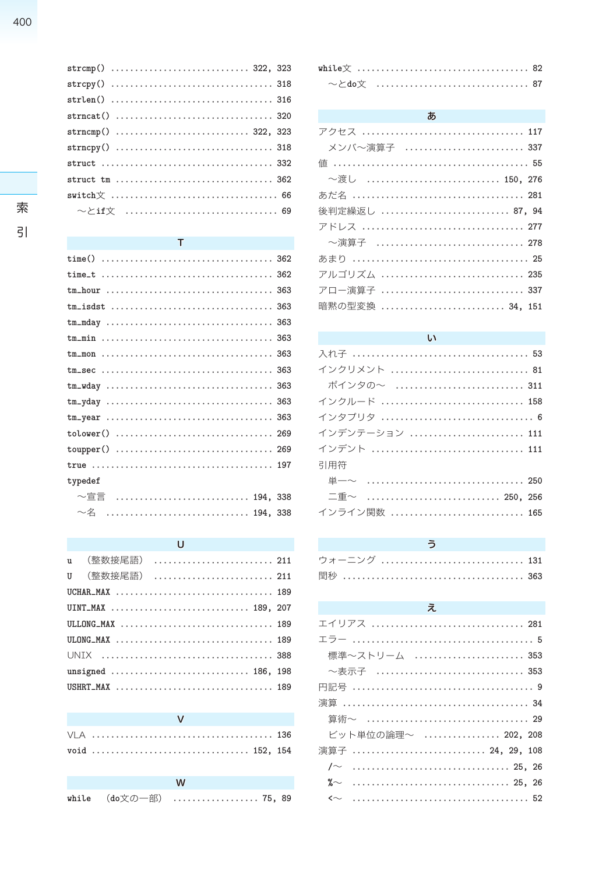#### 

索  $\overline{5}$ 

#### $\top$

| typedef                        |  |
|--------------------------------|--|
| $\sim$ 宣言 …………………………… 194, 338 |  |
| $\sim$ 名  194, 338             |  |

#### $\overline{U}$

| u (整数接尾語)  211     |  |  |  |  |  |  |  |  |  |  |  |
|--------------------|--|--|--|--|--|--|--|--|--|--|--|
| U (整数接尾語)  211     |  |  |  |  |  |  |  |  |  |  |  |
| UCHAR_MAX  189     |  |  |  |  |  |  |  |  |  |  |  |
| UINT_MAX  189, 207 |  |  |  |  |  |  |  |  |  |  |  |
|                    |  |  |  |  |  |  |  |  |  |  |  |
|                    |  |  |  |  |  |  |  |  |  |  |  |
|                    |  |  |  |  |  |  |  |  |  |  |  |
| unsigned  186, 198 |  |  |  |  |  |  |  |  |  |  |  |
| USHRT_MAX  189     |  |  |  |  |  |  |  |  |  |  |  |

|  | $\mathbf v$            |  |
|--|------------------------|--|
|  |                        |  |
|  | void  152, 154         |  |
|  |                        |  |
|  | W                      |  |
|  | while (do文の一部)  75, 89 |  |

#### ぁ

| アクセス  117       |
|-----------------|
| メンバ〜演算子  337    |
|                 |
| ~渡し  150, 276   |
|                 |
| 後判定繰返し  87, 94  |
| アドレス  277       |
| ~演算子  278       |
|                 |
| アルゴリズム  235     |
| アロー演算子  337     |
| 暗黙の型変換  34, 151 |

#### $\mathsf{U}$

| インクリメント  81    |
|----------------|
| ポインタの~  311    |
| インクルード  158    |
|                |
| インデンテーション  111 |
| インデント  111     |
| 引用符            |
|                |
| 二重~  250, 256  |
| インライン関数  165   |
|                |

| ウォーニング  131 |  |  |  |  |  |  |  |  |  |  |  |  |  |  |  |  |  |  |
|-------------|--|--|--|--|--|--|--|--|--|--|--|--|--|--|--|--|--|--|
|             |  |  |  |  |  |  |  |  |  |  |  |  |  |  |  |  |  |  |

#### え

| エイリアス  281           |  |  |  |  |  |  |  |  |  |  |  |  |  |  |  |  |  |  |  |
|----------------------|--|--|--|--|--|--|--|--|--|--|--|--|--|--|--|--|--|--|--|
|                      |  |  |  |  |  |  |  |  |  |  |  |  |  |  |  |  |  |  |  |
| 標準~ストリーム  353        |  |  |  |  |  |  |  |  |  |  |  |  |  |  |  |  |  |  |  |
| 〜表示子  353            |  |  |  |  |  |  |  |  |  |  |  |  |  |  |  |  |  |  |  |
|                      |  |  |  |  |  |  |  |  |  |  |  |  |  |  |  |  |  |  |  |
|                      |  |  |  |  |  |  |  |  |  |  |  |  |  |  |  |  |  |  |  |
|                      |  |  |  |  |  |  |  |  |  |  |  |  |  |  |  |  |  |  |  |
| ビット単位の論理~  202, 208  |  |  |  |  |  |  |  |  |  |  |  |  |  |  |  |  |  |  |  |
| 演算子  24, 29, 108     |  |  |  |  |  |  |  |  |  |  |  |  |  |  |  |  |  |  |  |
| $\sqrt{25}$ , 26, 26 |  |  |  |  |  |  |  |  |  |  |  |  |  |  |  |  |  |  |  |
|                      |  |  |  |  |  |  |  |  |  |  |  |  |  |  |  |  |  |  |  |
|                      |  |  |  |  |  |  |  |  |  |  |  |  |  |  |  |  |  |  |  |
|                      |  |  |  |  |  |  |  |  |  |  |  |  |  |  |  |  |  |  |  |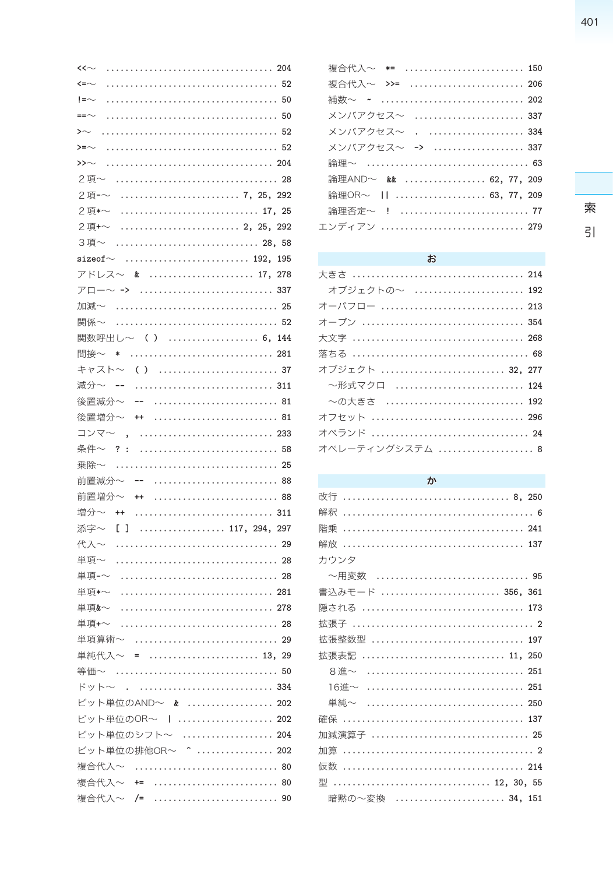| くく〜                                                                                    |
|----------------------------------------------------------------------------------------|
| $\leftarrow$                                                                           |
| $!=\sim$                                                                               |
| ==∼                                                                                    |
| $\sim$                                                                                 |
| >=∼                                                                                    |
| $\rightarrow$                                                                          |
|                                                                                        |
| $\ldots \ldots \ldots \ldots \ldots \ldots \ldots \ldots \ldots$ 7, 25,<br>292<br>2項-~ |
| 17, 25<br>2項*~                                                                         |
| 2項+~<br>292                                                                            |
|                                                                                        |
|                                                                                        |
| アドレス〜 & 17,278                                                                         |
| アロー〜 ->                                                                                |
| 加減~  25                                                                                |
| 関係~                                                                                    |
| 関数呼出し~ ()  6, 144                                                                      |
| 間接~                                                                                    |
| キャスト〜                                                                                  |
| 減分~ --                                                                                 |
| $-$<br>後置減分~                                                                           |
| 後置増分~<br>$++$                                                                          |
| コンマ〜 ,                                                                                 |
| 条件~?<br>$\ddot{\phantom{a}}$                                                           |
| 25<br>乗除~                                                                              |
| 前置減分~ --<br>88                                                                         |
| 前置増分~<br>$++$                                                                          |
| 增分~ ++<br>311                                                                          |
| 117, 294, 297<br>添字~<br>$\begin{bmatrix} 1 \end{bmatrix}$                              |
| 代入~                                                                                    |
| 単項~                                                                                    |
| 単項-~                                                                                   |
| 単項*~                                                                                   |
| 単項&~                                                                                   |
| 単項+~                                                                                   |
| 単項算術~  29                                                                              |
| 単純代入~ =  13, 29                                                                        |
|                                                                                        |
| ドット~ 334                                                                               |
| ビット単位のAND~ &  202                                                                      |
| ビット単位のOR~    202                                                                       |
| ビット単位のシフト~  204                                                                        |
| ビット単位の排他OR~ ^  202                                                                     |
| 複合代入~  80                                                                              |
| 複合代入~ +=  80                                                                           |
| 複合代入~ /=<br>90                                                                         |

| 複合代入~ *=  150          |  |  |  |  |  |  |  |  |  |  |
|------------------------|--|--|--|--|--|--|--|--|--|--|
| 複合代入~ >>=  206         |  |  |  |  |  |  |  |  |  |  |
| 補数~ ~  202             |  |  |  |  |  |  |  |  |  |  |
| メンバアクセス~  337          |  |  |  |  |  |  |  |  |  |  |
| メンバアクセス~ 334           |  |  |  |  |  |  |  |  |  |  |
| メンバアクセス∼ ->  337       |  |  |  |  |  |  |  |  |  |  |
| 論理~  63                |  |  |  |  |  |  |  |  |  |  |
| 論理AND~ &&  62, 77, 209 |  |  |  |  |  |  |  |  |  |  |
| 論理OR~     63, 77, 209  |  |  |  |  |  |  |  |  |  |  |
| 論理否定~ ! 77             |  |  |  |  |  |  |  |  |  |  |
| エンディアン  279            |  |  |  |  |  |  |  |  |  |  |

#### $\ddot{a}$

| オブジェクトの~  192   |
|-----------------|
| オーバフロー  213     |
|                 |
|                 |
|                 |
| オブジェクト  32. 277 |
| ~形式マクロ  124     |
| ~の大きさ  192      |
| オフヤット  296      |
| オペランド  24       |
| オペレーティングシステム 8  |

#### ゕ

| カウンタ                  |
|-----------------------|
| 〜用変数  95              |
| 書込みモード  356, 361      |
| 隠される  173             |
|                       |
| 拡張整数型  197            |
| 拡張表記  11, 250         |
| 8進∼ ………………………………… 251 |
| 16進~  251             |
| 単純~  250              |
|                       |
| 加減演算子  25             |
|                       |
|                       |
| 型  12, 30, 55         |
| 暗黙の~変換  34, 151       |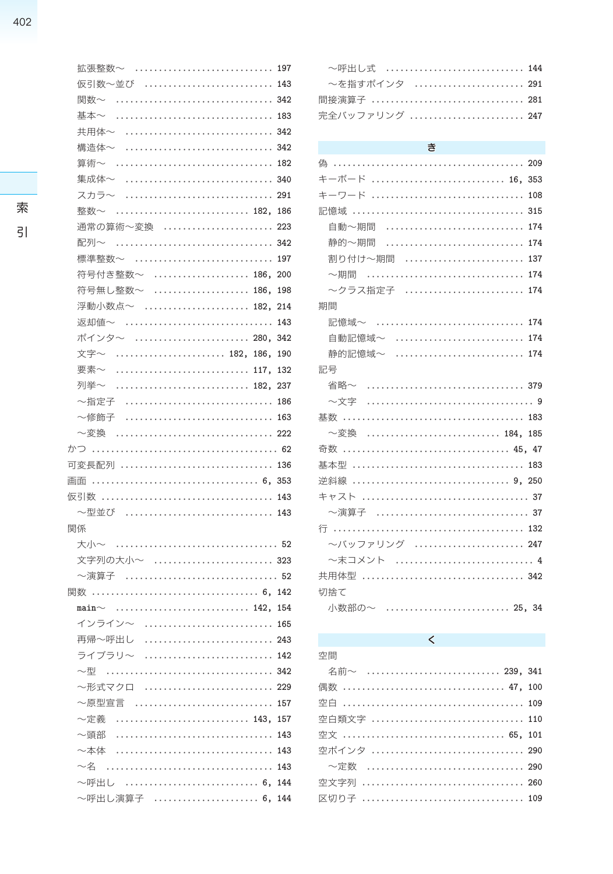| 仮引数~並び  143      |     |
|------------------|-----|
| 関数~  342         |     |
| 基本~              |     |
| 共用体~             |     |
| 構浩体~             |     |
| 算術~              |     |
| 集成体~             |     |
| スカラ〜             |     |
| 整数~              | 186 |
| 通常の算術~変換  223    |     |
| 配列~              |     |
| 標準整数~  197       |     |
| 符号付き整数~  186,    | 200 |
| 符号無し整数~          | 198 |
| 浮動小数点~  182,     | 214 |
| 返却値~             | 143 |
| ポインタ〜            | 342 |
| 文字~<br>182. 186. | 190 |
| 要素~              | 132 |
| 列举~              | 237 |
| ~指定子             |     |
| ~修飾子             |     |
| ~変換              |     |
|                  |     |
| 可変長配列  136       |     |
| 画面               |     |
|                  |     |
| ~型並び  143        |     |
| 関係               |     |
| 大小~              |     |
| 文字列の大小~  323     |     |
| ~演算子  52         |     |
|                  |     |
| $main~\sim$      |     |
| インライン〜           |     |
| 再帰〜呼出し           |     |
| ライブラリ〜           |     |
| ~型               | 342 |
| 〜形式マクロ           | 229 |
| ~原型宣言            | 157 |
| ~定義              | 157 |
| ~頭部              | 143 |
| ~本体              | 143 |
| $\sim$ 2         | 143 |
| 〜呼出し  6,         | 144 |

~呼出し演算子 ....................... 6, 144

拡張整数~ ............................. 197

| ~呼出し式  144     |  |
|----------------|--|
| ~を指すポインタ  291  |  |
| 間接演算子  281     |  |
| 宗全バッファリング  247 |  |

#### き

# $\overline{\left( \right. }%$

| 空間            |  |
|---------------|--|
| 名前∼  239, 341 |  |
| 偶数  47, 100   |  |
|               |  |
| 空白類文字  110    |  |
| 空文  65, 101   |  |
| 空ポインタ  290    |  |
| ──定数  290     |  |
| 空文字列  260     |  |
| 区切り子  109     |  |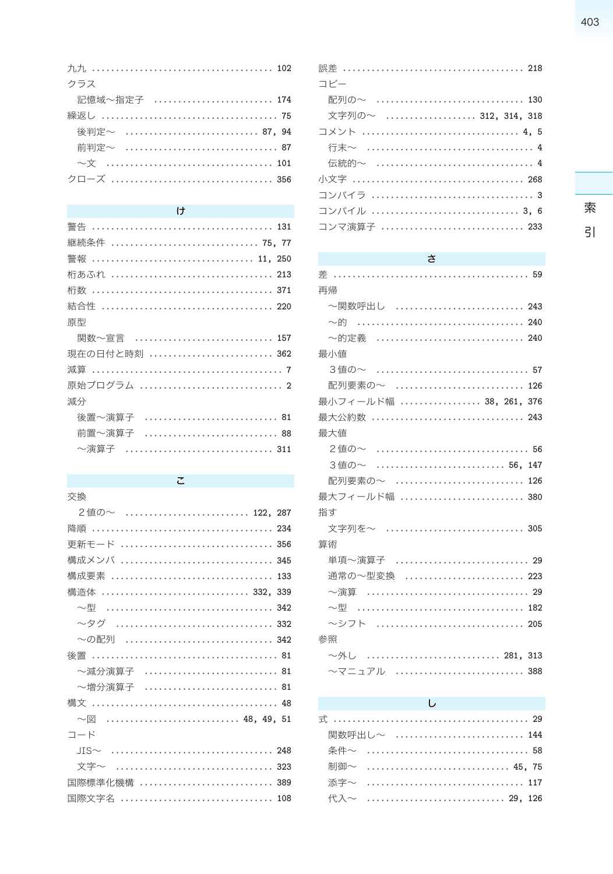| クラス          |  |
|--------------|--|
| 記憶域~指定子  174 |  |
|              |  |
| 後判定~  87,94  |  |
|              |  |
|              |  |
| クローズ  356    |  |
|              |  |

#### $\begin{array}{c} \text{ } \\ \text{ } \\ \text{ } \end{array}$

| 継続条件  75, 77  |
|---------------|
| 警報  11, 250   |
| 桁あふれ  213     |
|               |
|               |
| 原型            |
| 関数~宣言  157    |
| 現在の日付と時刻  362 |
|               |
|               |
| 減分            |
| 後置~演算子        |
| 前置~演算子  88    |
| ~演算子          |

 $\zeta$ 

| 交換             |
|----------------|
| 2値の~  122, 287 |
| 隆順             |
| 更新干一ド<br>356   |
| 構成メンバ  345     |
|                |
| 構造体  332. 339  |
| ~型             |
| 〜タグ  332       |
| ~の配列           |
|                |
| ~減分演算子  81     |
| ~増分演算子  81     |
|                |
| $\sim$ 図       |
| コード            |
| $JIS \sim$     |
| 文字~            |
| 国際標進化機構  389   |
| 国際文字名  108     |
|                |

#### $\star$

| 再帰                           |  |
|------------------------------|--|
| ~関数呼出し  243                  |  |
| $\sim$ 的 ……………………………………… 240 |  |
| ~的定義  240                    |  |
| 最小値                          |  |
|                              |  |
| 配列要素の~  126                  |  |
| 最小フィールド幅  38, 261, 376       |  |
| 最大公約数  243                   |  |
| 最大値                          |  |
| 2値の~  56                     |  |
| 3値の~  56, 147                |  |
| 配列要素の~  126                  |  |
| 最大フィールド幅  380                |  |
| 指す                           |  |
| 文字列を~  305                   |  |
| 算術                           |  |
| 単項~演算子  29                   |  |
| 通常の~型変換  223                 |  |
|                              |  |
| $\sim$ 型 …………………………………… 182  |  |
| ~シフト  205                    |  |
| 参照                           |  |
| ~外し  281, 313                |  |
| 〜マニュアル  388                  |  |

# $\mathsf{L}% _{T}=\mathsf{L}_{T}\!\left( \mathcal{M}_{T}\right) ,$

| 関数呼出し~  144 |  |  |  |  |  |  |
|-------------|--|--|--|--|--|--|
|             |  |  |  |  |  |  |
| 制御~  45, 75 |  |  |  |  |  |  |
| 添字~  117    |  |  |  |  |  |  |
| 代入~  29,126 |  |  |  |  |  |  |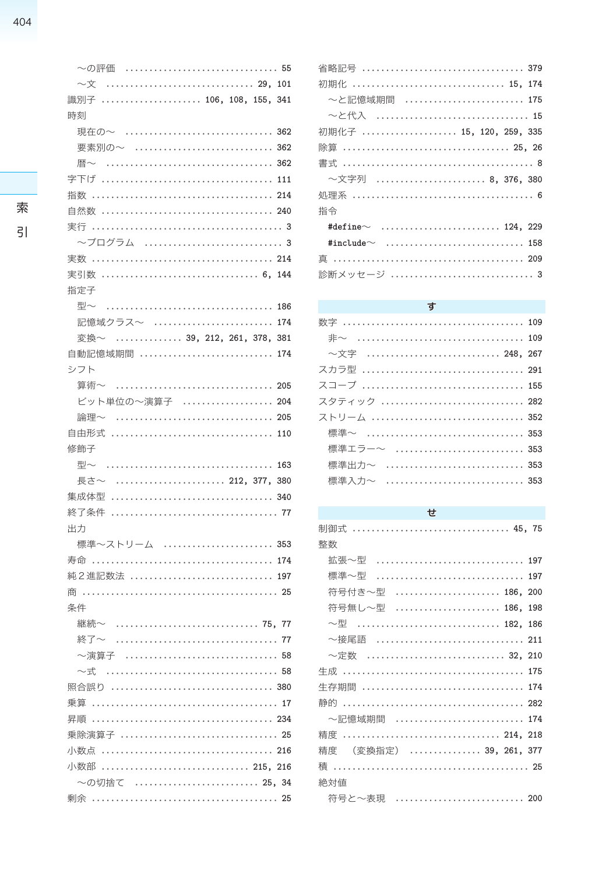| 〜の評価  55                       |
|--------------------------------|
| $\sim\!\star$                  |
| 識別子  106, 108, 155, 341        |
| 時刻                             |
| 現在の~                           |
| 要素別の~  362                     |
| 暦〜                             |
|                                |
| 指数                             |
|                                |
|                                |
|                                |
|                                |
| 6, 144<br>実引数                  |
| 指定子                            |
| 型〜<br>186                      |
| 記憶域クラス~  174                   |
| 変換~  39, 212, 261, 378,<br>381 |
| 自動記憶域期間<br>174                 |
| シフト                            |
|                                |
| ビット単位の~演算子  204                |
| 論理~  205                       |
|                                |
|                                |
| 修飾子                            |
| 型〜<br>163                      |
| 長さ~  212, 377,<br>380          |
| 集成体型                           |
|                                |
| 出力                             |
| 標準~ストリーム  353                  |
| 寿命                             |
| 純2進記数法  197                    |
|                                |
| 条件                             |
| 継続∼  75, 77                    |
|                                |
| ~演算子<br>58<br>.                |
|                                |
|                                |
|                                |
|                                |
| 乗除演算子  25                      |
|                                |
| 小数部  215, 216                  |
| ~の切捨て  25, 34                  |
|                                |

| 省略記号  379               |
|-------------------------|
| 初期化  15, 174            |
| 〜と記憶域期間  175            |
| ~と代入  15                |
| 初期化子  15, 120, 259, 335 |
| 除算  25, 26              |
|                         |
| 〜文字列  8, 376, 380       |
|                         |
| 指令                      |
|                         |
|                         |
|                         |
|                         |

#### す

|  |  |  |  |  |  |  |  |  |  |  |  |  |  | ~文字  248, 267 |
|--|--|--|--|--|--|--|--|--|--|--|--|--|--|---------------|
|  |  |  |  |  |  |  |  |  |  |  |  |  |  | スカラ型  291     |
|  |  |  |  |  |  |  |  |  |  |  |  |  |  |               |
|  |  |  |  |  |  |  |  |  |  |  |  |  |  | スタティック  282   |
|  |  |  |  |  |  |  |  |  |  |  |  |  |  |               |
|  |  |  |  |  |  |  |  |  |  |  |  |  |  | 標準~  353      |
|  |  |  |  |  |  |  |  |  |  |  |  |  |  | 標準エラー~  353   |
|  |  |  |  |  |  |  |  |  |  |  |  |  |  | 標準出力~  353    |
|  |  |  |  |  |  |  |  |  |  |  |  |  |  | 標準入力~  353    |
|  |  |  |  |  |  |  |  |  |  |  |  |  |  |               |

## $\mathbf t$

| 制御式  45. 75                |
|----------------------------|
| 整数                         |
| 拡張〜型  197                  |
| 標準~型  197                  |
| 符号付き〜型  186,<br>200        |
| 符号無し~型  186,<br>198        |
| $\sim$ 型  182,<br>186      |
| ~接尾語  211                  |
| ~定数  32, 210               |
|                            |
| 生存期間  174                  |
|                            |
| ~記憶域期間  174                |
| 精度  214, 218               |
| (変換指定)  39, 261, 377<br>精度 |
|                            |
| 絶対値                        |
| 符号と〜表現  200                |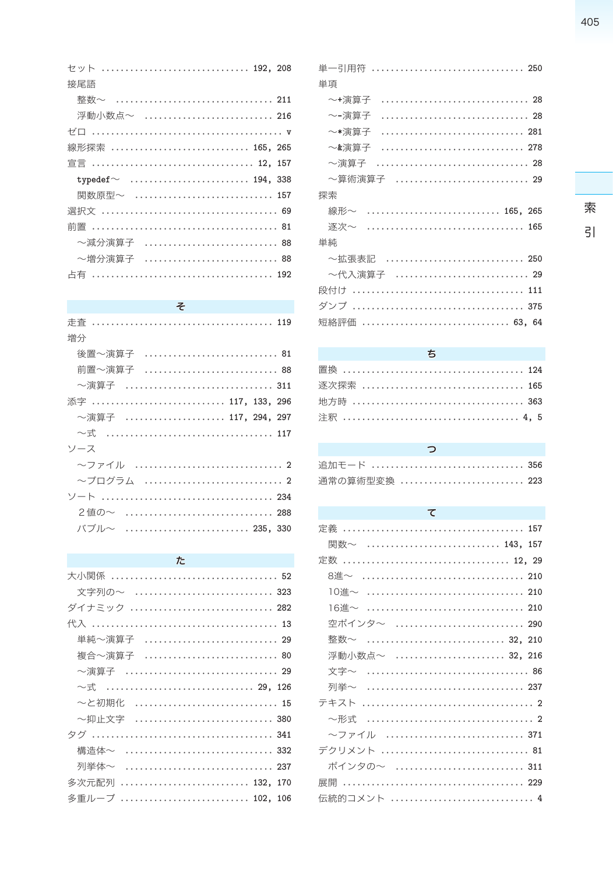|                |  |  |  |  |  |  |  |  |  |  |  |  | セット  192, 208 |
|----------------|--|--|--|--|--|--|--|--|--|--|--|--|---------------|
| 接尾語            |  |  |  |  |  |  |  |  |  |  |  |  |               |
|                |  |  |  |  |  |  |  |  |  |  |  |  | 整数~  211      |
|                |  |  |  |  |  |  |  |  |  |  |  |  | 浮動小数点~  216   |
|                |  |  |  |  |  |  |  |  |  |  |  |  |               |
| 線形探索  165, 265 |  |  |  |  |  |  |  |  |  |  |  |  |               |
| 宣言  12, 157    |  |  |  |  |  |  |  |  |  |  |  |  |               |
|                |  |  |  |  |  |  |  |  |  |  |  |  |               |
|                |  |  |  |  |  |  |  |  |  |  |  |  |               |
|                |  |  |  |  |  |  |  |  |  |  |  |  | 関数原型~  157    |
|                |  |  |  |  |  |  |  |  |  |  |  |  |               |
|                |  |  |  |  |  |  |  |  |  |  |  |  |               |
|                |  |  |  |  |  |  |  |  |  |  |  |  | ~減分演算子  88    |
|                |  |  |  |  |  |  |  |  |  |  |  |  | ~増分演算子  88    |

# そ

| 増分                           |
|------------------------------|
| 後置~演算子  81                   |
| 前置~演算子  88                   |
| ~演算子  311                    |
| 添字  117, 133, 296            |
| ~演算子  117, 294, 297          |
| $\sim$ 式 ……………………………………… 117 |
| ソース                          |
|                              |
| ~プログラム  2                    |
|                              |
| 2値の~  288                    |
| バブル~  235, 330               |

# $\hbar$

| 文字列の~  323        |  |
|-------------------|--|
| ダイナミック  282       |  |
|                   |  |
| 単純~演算子  29        |  |
| 複合~演算子  80        |  |
| ~演算子  29          |  |
| $\sim$ 式  29, 126 |  |
| ~と初期化  15         |  |
| ~抑止文字  380        |  |
|                   |  |
| 構造体~  332         |  |
| 列举体~  237         |  |
| 多次元配列  132, 170   |  |
| 多重ループ  102, 106   |  |

| 単一引用符  250                                                                                       |
|--------------------------------------------------------------------------------------------------|
| 単項                                                                                               |
| ~+演算子                                                                                            |
| ~-演算子                                                                                            |
| ~*演算子                                                                                            |
| ~&演算子                                                                                            |
| ~演算子                                                                                             |
| ~算術演算子  29                                                                                       |
| 探索                                                                                               |
| $\ldots \ldots \ldots \ldots \ldots \ldots \ldots \ldots \ldots \ldots \quad 165, \; 265$<br>線形~ |
| 逐次~                                                                                              |
| 単純                                                                                               |
| ~拡張表記  250                                                                                       |
| ~代入演算子  29                                                                                       |
|                                                                                                  |
|                                                                                                  |
| 短絡評価  63. 64                                                                                     |

#### $\overline{5}$

| 逐次探索  165 |  |  |  |  |  |  |  |  |  |  |  |  |  |  |  |  |  |  |
|-----------|--|--|--|--|--|--|--|--|--|--|--|--|--|--|--|--|--|--|
|           |  |  |  |  |  |  |  |  |  |  |  |  |  |  |  |  |  |  |
|           |  |  |  |  |  |  |  |  |  |  |  |  |  |  |  |  |  |  |

| っ             |  |
|---------------|--|
| 追加モード  356    |  |
| 通常の算術型変換  223 |  |

# $\tau$

| 関数~  143, 157   |
|-----------------|
|                 |
|                 |
| 10進~  210       |
| 16淮~  210       |
| 空ポインタ〜  290     |
| 整数~  32, 210    |
| 浮動小数点~  32, 216 |
|                 |
| 列举~  237        |
|                 |
| ~形式             |
| 〜ファイル  371      |
| デクリメント  81      |
| ポインタの~  311     |
|                 |
| 伝統的コメント  4      |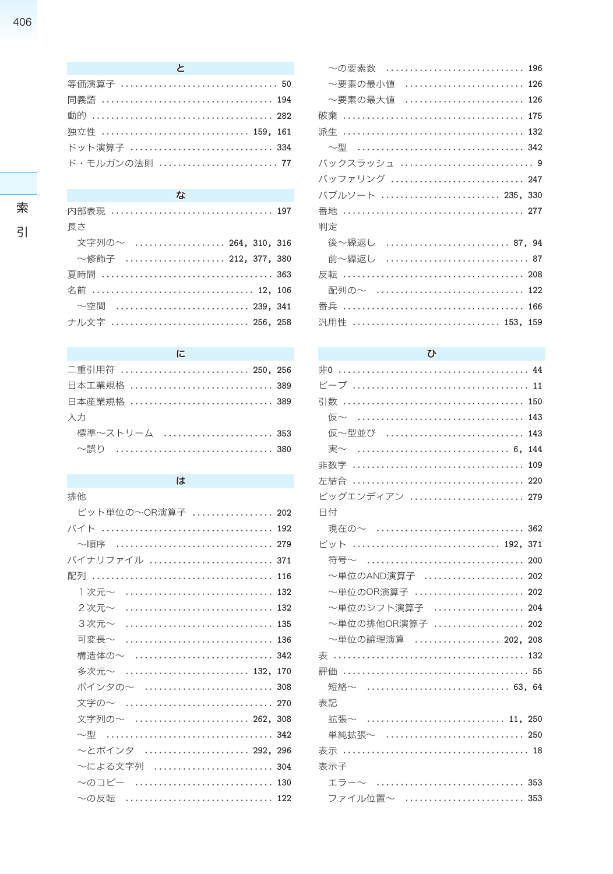| $\mathcal{L}$ and $\mathcal{L}$ |
|---------------------------------|
| 等価演算子  50                       |
|                                 |
|                                 |
| 独立性  159, 161                   |
| ドット演算子  334                     |
| ド・モルガンの法則 77                    |

# 索

# $\overline{5}$

| 内部表現  197            |  |
|----------------------|--|
| 長さ                   |  |
| 文字列の~  264, 310, 316 |  |
| ~修飾子  212,377,380    |  |
|                      |  |
| 名前  12, 106          |  |
| ──空間  239, 341       |  |
| ナル文字  256, 258       |  |

な

#### に

| 二重引用符  250, 256 |  |
|-----------------|--|
| 日本工業規格  389     |  |
| 日本産業規格  389     |  |
| 入力              |  |
| 標準~ストリーム  353   |  |
|                 |  |

# $\overline{a}$

| 排他                           |  |
|------------------------------|--|
| ビット単位の~OR演算子  202            |  |
|                              |  |
| ~順序                          |  |
| バイナリファイル  371                |  |
|                              |  |
| Ⅰ次元~  132                    |  |
| $2\,\text{Tr}\!\sim\,$ 132   |  |
| 3次元~  135                    |  |
| 可変長~  136                    |  |
| 構造体の~  342                   |  |
| 多次元~                         |  |
| ポインタの~  308                  |  |
| 文字の~  270                    |  |
| 文字列の~  262, 308              |  |
| $\sim$ 型 ……………………………………… 342 |  |
| ~とポインタ  292, 296             |  |
| 〜による文字列  304                 |  |
| 〜のコピー  130                   |  |
| ~の反転                         |  |
|                              |  |

| ~の要素数  196       |
|------------------|
| 〜要素の最小値  126     |
| ~要素の最大値  126     |
| 破棄               |
|                  |
|                  |
| バックスラッシュ  9      |
| バッファリング  247     |
| バブルソート  235, 330 |
|                  |
| 判定               |
| 後~繰返し  87, 94    |
| 前~繰返し  87        |
|                  |
| 配列の~  122        |
|                  |
| 汎用性  153, 159    |

### $\sigma$

| 仮~型並び  143                     |
|--------------------------------|
| 実~  6, 144                     |
|                                |
|                                |
| ビッグエンディアン  279                 |
| 日付                             |
| 現在の~  362                      |
| ビット  192, 371                  |
| 符号~  200                       |
| ~単位のAND演算子  202                |
| ~単位のOR演算子  202                 |
| ~単位のシフト演算子  204                |
| ~単位の排他OR演算子  202               |
| ~単位の論理演算  202, 208             |
|                                |
|                                |
| 短絡~  63. 64                    |
| 表記                             |
| 拡張~  11, 250                   |
| 単純拡張~  250                     |
|                                |
| 表示子                            |
| $\bot$ ラー〜  353                |
| ファイル位置~ しゅうしょう しょうかんしゅう<br>353 |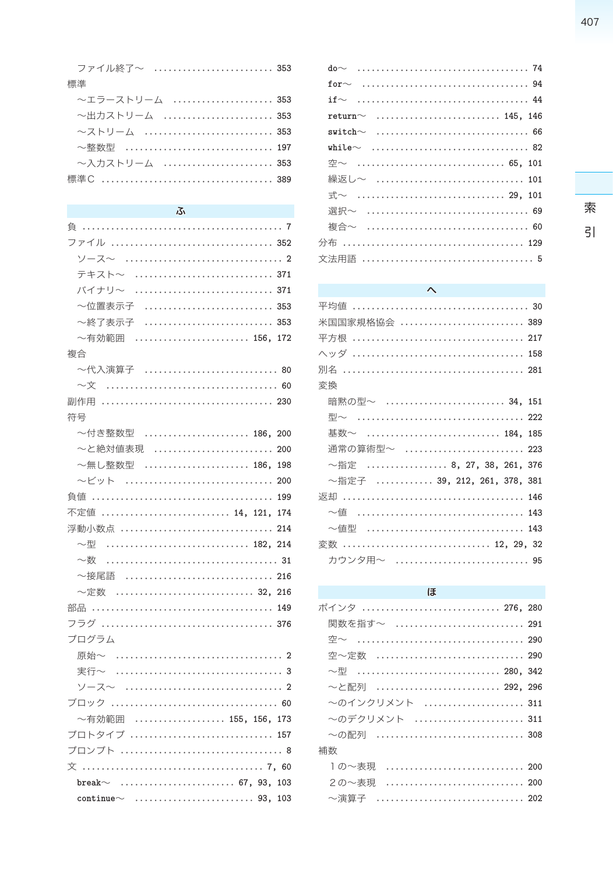|    | ファイル終了~  353   |  |  |  |  |  |
|----|----------------|--|--|--|--|--|
| 標準 |                |  |  |  |  |  |
|    | ~エラーストリーム  353 |  |  |  |  |  |
|    | ~出力ストリーム  353  |  |  |  |  |  |
|    | ~ストリーム  353    |  |  |  |  |  |
|    | ~整数型  197      |  |  |  |  |  |
|    | ~入力ストリーム  353  |  |  |  |  |  |
|    |                |  |  |  |  |  |

#### ふ

| ファイル  352                     |
|-------------------------------|
|                               |
| テキスト〜  371                    |
| バイナリ〜                         |
| ~位置表示子  353                   |
| ~終了表示子                        |
| ~有効範囲  156, 172               |
| 複合                            |
| ~代入演算子  80                    |
| $\sim$ 文 …………………………………………… 60 |
| 副作用                           |
| 符号                            |
| ~付き整数型  186,<br>200           |
| ~と絶対値表現<br>200                |
| 〜無し整数型  186,<br>198           |
| 〜ビット  200                     |
|                               |
| 14, 121, 174<br>不定値           |
| 浮動小数点  214                    |
| ~型                            |
| 〜数                            |
| ~接尾語                          |
| ~定数                           |
|                               |
|                               |
| プログラム                         |
|                               |
| 実行~                           |
|                               |
|                               |
| ~有効範囲  155, 156, 173          |
| プロトタイプ  157                   |
|                               |
|                               |
| break $\sim$ 67, 93, 103      |
|                               |

| $return \sim$ 145. 146                                           |
|------------------------------------------------------------------|
| $switch \sim \ldots, \ldots, \ldots, \ldots, \ldots, \ldots, 66$ |
|                                                                  |
| 空 $\sim$ 65, 101                                                 |
| 繰返し~  101                                                        |
|                                                                  |
| 選択~  69                                                          |
| 複合~  60                                                          |
|                                                                  |
|                                                                  |

#### $\boldsymbol{\wedge}$ 米国国家規格協会 .......................... 389 変換 暗黙の型~ ......................... 34, 151 基数~ ........................... 184, 185 通常の算術型~ ......................... 223 ~指定 ................. 8, 27, 38, 261, 376 ~指定子 ............ 39, 212, 261, 378, 381  $\sim$ 値 ................................... 143 ~値型 .................................. 143 変数 ............................... 12, 29, 32 カウンタ用~ ............................. 95

#### ほ

| ポインタ  276, 280     |  |
|--------------------|--|
| 関数を指す~  291        |  |
|                    |  |
| 空~定数  290          |  |
| $\sim$ 型  280, 342 |  |
| ~と配列  292, 296     |  |
| ~のインクリメント  311     |  |
| ~のデクリメント  311      |  |
| ~の配列  308          |  |
| 補数                 |  |
| 1の~表現  200         |  |
| 2の~表現  200         |  |
| 〜演算子  202          |  |

索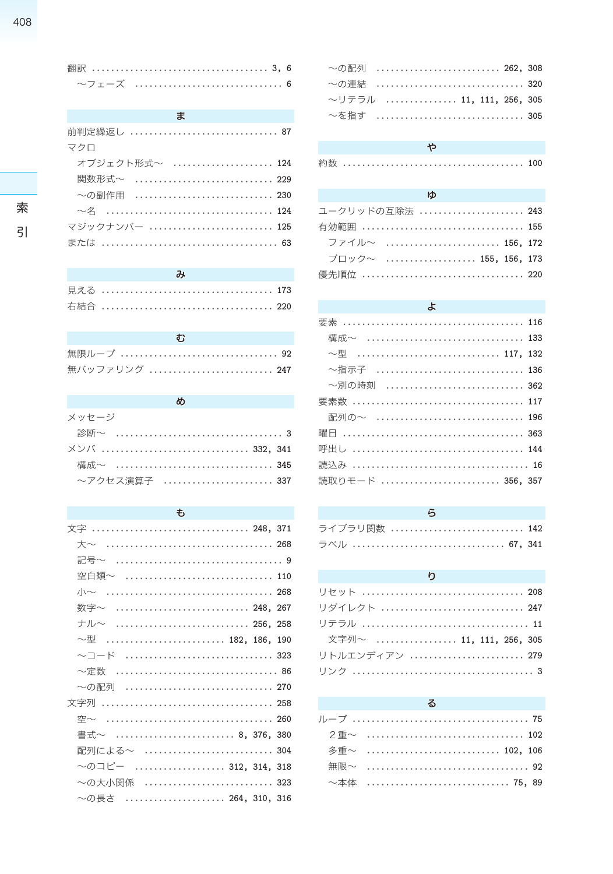索

 $\overline{5}$ 

#### $\ddot{\boldsymbol{z}}$

| 前判定繰返し  87                   |
|------------------------------|
| マクロ                          |
| オブジェクト形式~  124               |
| 関数形式~  229                   |
| ~の副作用  230                   |
| $\sim$ 名 ……………………………………… 124 |
| マジックナンバー  125                |
|                              |

| 無限ループ  92     |  |  |  |  |  |  |  |  |  |  |  |  |  |  |
|---------------|--|--|--|--|--|--|--|--|--|--|--|--|--|--|
| 無バッファリング  247 |  |  |  |  |  |  |  |  |  |  |  |  |  |  |

# め

| メッセージ         |  |  |  |  |  |  |  |  |  |  |  |  |
|---------------|--|--|--|--|--|--|--|--|--|--|--|--|
|               |  |  |  |  |  |  |  |  |  |  |  |  |
| メンバ  332, 341 |  |  |  |  |  |  |  |  |  |  |  |  |
|               |  |  |  |  |  |  |  |  |  |  |  |  |
| ~アクセス演算子  337 |  |  |  |  |  |  |  |  |  |  |  |  |

#### $\overline{t}$

| 文字  248, 371                      |  |
|-----------------------------------|--|
|                                   |  |
|                                   |  |
| 空白類~  110                         |  |
|                                   |  |
| 数字~  248,267                      |  |
| $\pm$ ル〜  256, 258                |  |
| $\sim$ 型 ………………………… 182, 186, 190 |  |
| 〜コード  323                         |  |
|                                   |  |
| 〜の配列  270                         |  |
|                                   |  |
|                                   |  |
| 書式~  8,376,380                    |  |
| 配列による~ ‥‥‥‥‥‥‥‥‥‥‥‥‥‥‥ 304        |  |
| 〜のコピー  312, 314, 318              |  |
| 〜の大小関係  323                       |  |
| 〜の長さ  264, 310, 316               |  |
|                                   |  |

| 〜の配列  262. 308           |  |
|--------------------------|--|
| ~の連結  320                |  |
| ~リテラル  11, 111, 256, 305 |  |
| $\sim$ を指す  305          |  |

### ゃ

|--|--|--|--|--|--|--|--|--|--|--|--|--|--|--|--|--|--|--|--|--|--|--|--|--|--|--|--|--|--|--|--|

#### $\phi$

| ユークリッドの互除法  243      |  |
|----------------------|--|
| 有効範囲  155            |  |
| ファイル~  156, 172      |  |
| ブロック~  155, 156, 173 |  |
| 優先順位  220            |  |

#### $\star$

| 構成~  133                       |  |
|--------------------------------|--|
| $\sim$ 型 ……………………………… 117, 132 |  |
| 〜指示子  136                      |  |
| 〜別の時刻  362                     |  |
|                                |  |
| 配列の~  196                      |  |
|                                |  |
|                                |  |
|                                |  |
| 読取りモード  356, 357               |  |
|                                |  |

## $\overline{5}$

| ライブラリ関数  142 |  |
|--------------|--|
| ラベル  67, 341 |  |

#### $\mathfrak{p}$

| リセット  208               |
|-------------------------|
| リダイレクト  247             |
|                         |
| 文字列~  11, 111, 256, 305 |
| リトルエンディアン  279          |
|                         |

### $\delta$

| 2 重~ ………………………………… 102 |  |  |
|------------------------|--|--|
| 多重~  102, 106          |  |  |
| 無限~ ……………………………………… 92 |  |  |
| ~本体  75,89             |  |  |